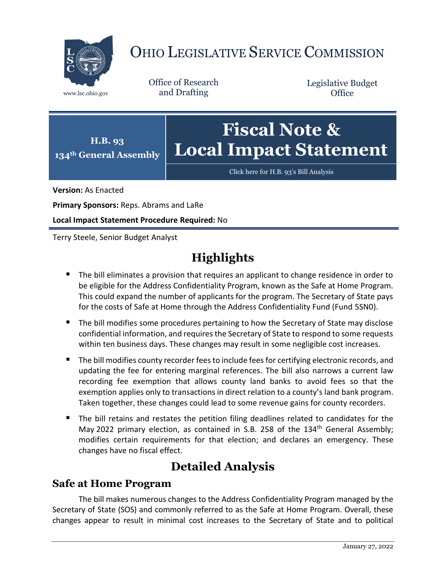

# OHIO LEGISLATIVE SERVICE COMMISSION

Office of Research www.lsc.ohio.gov and Drafting

Legislative Budget **Office** 



[Click here for H.B. 93](https://www.legislature.ohio.gov/legislation/legislation-documents?id=GA134-HB-93)'s Bill Analysis

**Version:** As Enacted

**Primary Sponsors:** Reps. Abrams and LaRe

**Local Impact Statement Procedure Required:** No

Terry Steele, Senior Budget Analyst

# **Highlights**

- **The bill eliminates a provision that requires an applicant to change residence in order to** be eligible for the Address Confidentiality Program, known as the Safe at Home Program. This could expand the number of applicants for the program. The Secretary of State pays for the costs of Safe at Home through the Address Confidentiality Fund (Fund 5SN0).
- The bill modifies some procedures pertaining to how the Secretary of State may disclose confidential information, and requires the Secretary of State to respond to some requests within ten business days. These changes may result in some negligible cost increases.
- The bill modifies county recorder fees to include fees for certifying electronic records, and updating the fee for entering marginal references. The bill also narrows a current law recording fee exemption that allows county land banks to avoid fees so that the exemption applies only to transactions in direct relation to a county's land bank program. Taken together, these changes could lead to some revenue gains for county recorders.
- The bill retains and restates the petition filing deadlines related to candidates for the May 2022 primary election, as contained in S.B. 258 of the  $134<sup>th</sup>$  General Assembly; modifies certain requirements for that election; and declares an emergency. These changes have no fiscal effect.

## **Detailed Analysis**

#### **Safe at Home Program**

The bill makes numerous changes to the Address Confidentiality Program managed by the Secretary of State (SOS) and commonly referred to as the Safe at Home Program. Overall, these changes appear to result in minimal cost increases to the Secretary of State and to political